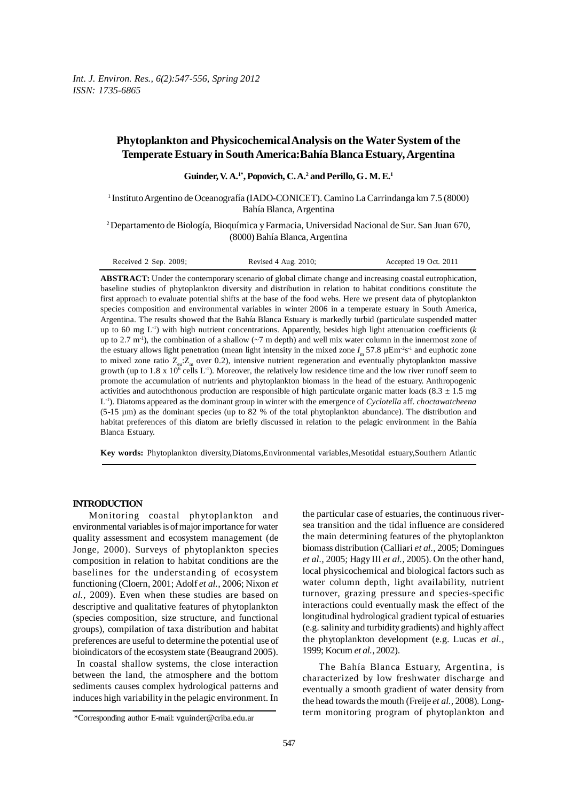# **Phytoplankton and Physicochemical Analysis on the Water System of the Temperate Estuary in South America:Bahía Blanca Estuary, Argentina**

Guinder, V. A.<sup>1\*</sup>, Popovich, C. A.<sup>2</sup> and Perillo, G. M. E.<sup>1</sup>

1 Instituto Argentino de Oceanografía (IADO-CONICET). Camino La Carrindanga km 7.5 (8000) Bahía Blanca, Argentina

2 Departamento de Biología, Bioquímica y Farmacia, Universidad Nacional de Sur. San Juan 670, (8000) Bahía Blanca, Argentina

**ABSTRACT:** Under the contemporary scenario of global climate change and increasing coastal eutrophication, baseline studies of phytoplankton diversity and distribution in relation to habitat conditions constitute the first approach to evaluate potential shifts at the base of the food webs. Here we present data of phytoplankton species composition and environmental variables in winter 2006 in a temperate estuary in South America, Argentina. The results showed that the Bahía Blanca Estuary is markedly turbid (particulate suspended matter up to 60 mg L-1) with high nutrient concentrations. Apparently, besides high light attenuation coefficients (*k* up to 2.7 m<sup>-1</sup>), the combination of a shallow ( $\sim$ 7 m depth) and well mix water column in the innermost zone of the estuary allows light penetration (mean light intensity in the mixed zone  $I_m$  57.8  $\mu$ Em<sup>-2</sup>s<sup>-1</sup> and euphotic zone to mixed zone ratio  $Z_{\mu}Z_{\mu}$  over 0.2), intensive nutrient regeneration and eventually phytoplankton massive growth (up to 1.8 x 10<sup>6</sup> cells  $L^{-1}$ ). Moreover, the relatively low residence time and the low river runoff seem to promote the accumulation of nutrients and phytoplankton biomass in the head of the estuary. Anthropogenic activities and autochthonous production are responsible of high particulate organic matter loads (8.3  $\pm$  1.5 mg L-1). Diatoms appeared as the dominant group in winter with the emergence of *Cyclotella* aff. *choctawatcheena* (5-15 µm) as the dominant species (up to 82 % of the total phytoplankton abundance). The distribution and habitat preferences of this diatom are briefly discussed in relation to the pelagic environment in the Bahía Blanca Estuary.

**Key words:** Phytoplankton diversity,Diatoms,Environmental variables,Mesotidal estuary,Southern Atlantic

## **INTRODUCTION**

Monitoring coastal phytoplankton and environmental variables is of major importance for water quality assessment and ecosystem management (de Jonge, 2000). Surveys of phytoplankton species composition in relation to habitat conditions are the baselines for the understanding of ecosystem functioning (Cloern, 2001; Adolf *et al.,* 2006; Nixon *et al.,* 2009). Even when these studies are based on descriptive and qualitative features of phytoplankton (species composition, size structure, and functional groups), compilation of taxa distribution and habitat preferences are useful to determine the potential use of bioindicators of the ecosystem state (Beaugrand 2005). In coastal shallow systems, the close interaction

between the land, the atmosphere and the bottom sediments causes complex hydrological patterns and induces high variability in the pelagic environment. In

The Bahía Blanca Estuary, Argentina, is characterized by low freshwater discharge and eventually a smooth gradient of water density from the head towards the mouth (Freije *et al.,* 2008). Longterm monitoring program of phytoplankton and

the particular case of estuaries, the continuous riversea transition and the tidal influence are considered the main determining features of the phytoplankton biomass distribution (Calliari *et al.,* 2005; Domingues *et al.,* 2005; Hagy III *et al.,* 2005). On the other hand, local physicochemical and biological factors such as water column depth, light availability, nutrient turnover, grazing pressure and species-specific interactions could eventually mask the effect of the longitudinal hydrological gradient typical of estuaries (e.g. salinity and turbidity gradients) and highly affect the phytoplankton development (e.g. Lucas *et al.,* 1999; Kocum *et al.,* 2002).

<sup>\*</sup>Corresponding author E-mail: vguinder@criba.edu.ar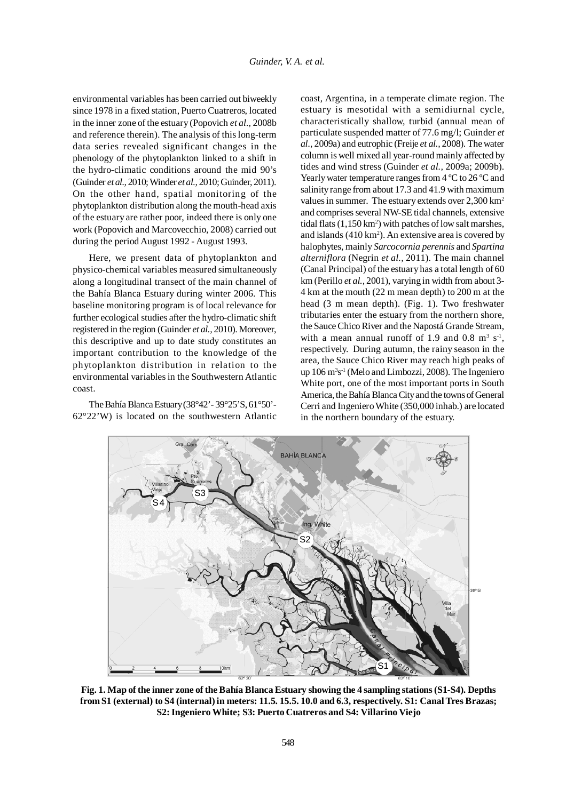environmental variables has been carried out biweekly since 1978 in a fixed station, Puerto Cuatreros, located in the inner zone of the estuary (Popovich *et al.,* 2008b and reference therein). The analysis of this long-term data series revealed significant changes in the phenology of the phytoplankton linked to a shift in the hydro-climatic conditions around the mid 90's (Guinder *et al.,* 2010; Winder *et al.,* 2010; Guinder, 2011). On the other hand, spatial monitoring of the phytoplankton distribution along the mouth-head axis of the estuary are rather poor, indeed there is only one work (Popovich and Marcovecchio, 2008) carried out during the period August 1992 - August 1993.

Here, we present data of phytoplankton and physico-chemical variables measured simultaneously along a longitudinal transect of the main channel of the Bahía Blanca Estuary during winter 2006. This baseline monitoring program is of local relevance for further ecological studies after the hydro-climatic shift registered in the region (Guinder *et al.,* 2010). Moreover, this descriptive and up to date study constitutes an important contribution to the knowledge of the phytoplankton distribution in relation to the environmental variables in the Southwestern Atlantic coast.

The Bahía Blanca Estuary (38°42'- 39°25'S, 61°50'- 62°22'W) is located on the southwestern Atlantic coast, Argentina, in a temperate climate region. The estuary is mesotidal with a semidiurnal cycle, characteristically shallow, turbid (annual mean of particulate suspended matter of 77.6 mg/l; Guinder *et al.,* 2009a) and eutrophic (Freije *et al.,* 2008). The water column is well mixed all year-round mainly affected by tides and wind stress (Guinder *et al.,* 2009a; 2009b). Yearly water temperature ranges from 4 °C to 26 °C and salinity range from about 17.3 and 41.9 with maximum values in summer. The estuary extends over 2,300 km<sup>2</sup> and comprises several NW-SE tidal channels, extensive tidal flats (1,150 km<sup>2</sup>) with patches of low salt marshes, and islands (410 km<sup>2</sup>). An extensive area is covered by halophytes, mainly *Sarcocornia perennis* and *Spartina alterniflora* (Negrin *et al.,* 2011). The main channel (Canal Principal) of the estuary has a total length of 60 km (Perillo *et al.,* 2001), varying in width from about 3- 4 km at the mouth (22 m mean depth) to 200 m at the head (3 m mean depth). (Fig. 1). Two freshwater tributaries enter the estuary from the northern shore, the Sauce Chico River and the Napostá Grande Stream, with a mean annual runoff of 1.9 and  $0.8 \text{ m}^3 \text{ s}^1$ , respectively. During autumn, the rainy season in the area, the Sauce Chico River may reach high peaks of up 106 m3 s-1 (Melo and Limbozzi, 2008). The Ingeniero White port, one of the most important ports in South America, the Bahía Blanca City and the towns of General Cerri and Ingeniero White (350,000 inhab.) are located in the northern boundary of the estuary.



**Fig. 1. Map of the inner zone of the Bahía Blanca Estuary showing the 4 sampling stations (S1-S4). Depths from S1 (external) to S4 (internal) in meters: 11.5. 15.5. 10.0 and 6.3, respectively. S1: Canal Tres Brazas; S2: Ingeniero White; S3: Puerto Cuatreros and S4: Villarino Viejo**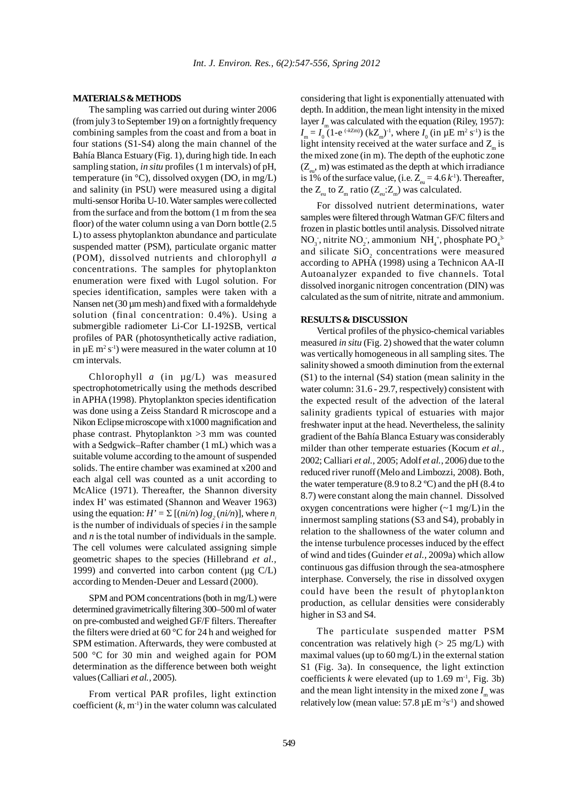#### **MATERIALS & METHODS**

The sampling was carried out during winter 2006 (from july 3 to September 19) on a fortnightly frequency combining samples from the coast and from a boat in four stations (S1-S4) along the main channel of the Bahía Blanca Estuary (Fig. 1), during high tide. In each sampling station, *in situ* profiles (1 m intervals) of pH, temperature (in  $\degree$ C), dissolved oxygen (DO, in mg/L) and salinity (in PSU) were measured using a digital multi-sensor Horiba U-10. Water samples were collected from the surface and from the bottom (1 m from the sea floor) of the water column using a van Dorn bottle (2.5 L) to assess phytoplankton abundance and particulate suspended matter (PSM), particulate organic matter (POM), dissolved nutrients and chlorophyll *a* concentrations. The samples for phytoplankton enumeration were fixed with Lugol solution. For species identification, samples were taken with a Nansen net (30  $\mu$ m mesh) and fixed with a formaldehyde solution (final concentration: 0.4%). Using a submergible radiometer Li-Cor LI-192SB, vertical profiles of PAR (photosynthetically active radiation, in  $\mu$ E m<sup>2</sup> s<sup>-1</sup>) were measured in the water column at 10 cm intervals.

Chlorophyll *a* (in µg/L) was measured spectrophotometrically using the methods described in APHA (1998). Phytoplankton species identification was done using a Zeiss Standard R microscope and a Nikon Eclipse microscope with x1000 magnification and phase contrast. Phytoplankton >3 mm was counted with a Sedgwick–Rafter chamber (1 mL) which was a suitable volume according to the amount of suspended solids. The entire chamber was examined at x200 and each algal cell was counted as a unit according to McAlice (1971). Thereafter, the Shannon diversity index H' was estimated (Shannon and Weaver 1963) using the equation:  $H' = \sum [(ni/n) \log_2 (ni/n)]$ , where *n*<sub>i</sub> is the number of individuals of species *i* in the sample and *n* is the total number of individuals in the sample. The cell volumes were calculated assigning simple geometric shapes to the species (Hillebrand *et al.,* 1999) and converted into carbon content ( $\mu$ g C/L) according to Menden-Deuer and Lessard (2000).

SPM and POM concentrations (both in mg/L) were determined gravimetrically filtering 300–500 ml of water on pre-combusted and weighed GF/F filters. Thereafter the filters were dried at 60 °C for 24 h and weighed for SPM estimation. Afterwards, they were combusted at 500 °C for 30 min and weighed again for POM determination as the difference between both weight values (Calliari *et al.,* 2005).

From vertical PAR profiles, light extinction coefficient  $(k, m<sup>-1</sup>)$  in the water column was calculated considering that light is exponentially attenuated with depth. In addition, the mean light intensity in the mixed layer *I*<sub>m</sub> was calculated with the equation (Riley, 1957):  $I_m = I_0$  (1-e<sup>(-*k*Zm)</sup>) (kZ<sub>m</sub>)<sup>-1</sup>, where  $I_0$  (in  $\mu$ E m<sup>2</sup> s<sup>-1</sup>) is the light intensity received at the water surface and  $Z_{m}$  is the mixed zone (in m). The depth of the euphotic zone  $(Z_{\ldots}, m)$  was estimated as the depth at which irradiance is 1% of the surface value, (i.e.  $Z_{\text{eq}} = 4.6 k^2$ ). Thereafter, the  $Z_{\text{m}}$  to  $Z_{\text{m}}$  ratio  $(Z_{\text{m}}$ : $Z_{\text{m}})$  was calculated.

For dissolved nutrient determinations, water samples were filtered through Watman GF/C filters and frozen in plastic bottles until analysis. Dissolved nitrate  $NO_3$ , nitrite  $NO_2$ , ammonium  $NH_4^+$ , phosphate  $PO_4^{3-}$ and silicate  $SiO_2$  concentrations were measured according to APHA (1998) using a Technicon AA-II Autoanalyzer expanded to five channels. Total dissolved inorganic nitrogen concentration (DIN) was calculated as the sum of nitrite, nitrate and ammonium.

#### **RESULTS & DISCUSSION**

Vertical profiles of the physico-chemical variables measured *in situ* (Fig. 2) showed that the water column was vertically homogeneous in all sampling sites. The salinity showed a smooth diminution from the external (S1) to the internal (S4) station (mean salinity in the water column: 31.6 - 29.7, respectively) consistent with the expected result of the advection of the lateral salinity gradients typical of estuaries with major freshwater input at the head. Nevertheless, the salinity gradient of the Bahía Blanca Estuary was considerably milder than other temperate estuaries (Kocum *et al.,* 2002; Calliari *et al.,* 2005; Adolf *et al.,* 2006) due to the reduced river runoff (Melo and Limbozzi, 2008). Both, the water temperature  $(8.9 \text{ to } 8.2 \text{ °C})$  and the pH  $(8.4 \text{ to } 8.2 \text{ °C})$ 8.7) were constant along the main channel. Dissolved oxygen concentrations were higher  $(-1 \text{ mg/L})$  in the innermost sampling stations (S3 and S4), probably in relation to the shallowness of the water column and the intense turbulence processes induced by the effect of wind and tides (Guinder *et al.,* 2009a) which allow continuous gas diffusion through the sea-atmosphere interphase. Conversely, the rise in dissolved oxygen could have been the result of phytoplankton production, as cellular densities were considerably higher in S3 and S4.

The particulate suspended matter PSM concentration was relatively high  $(> 25 \text{ mg/L})$  with maximal values (up to 60 mg/L) in the external station S1 (Fig. 3a). In consequence, the light extinction coefficients  $k$  were elevated (up to 1.69 m<sup>-1</sup>, Fig. 3b) and the mean light intensity in the mixed zone  $I_m$  was relatively low (mean value:  $57.8 \mu E m^2 s^{-1}$ ) and showed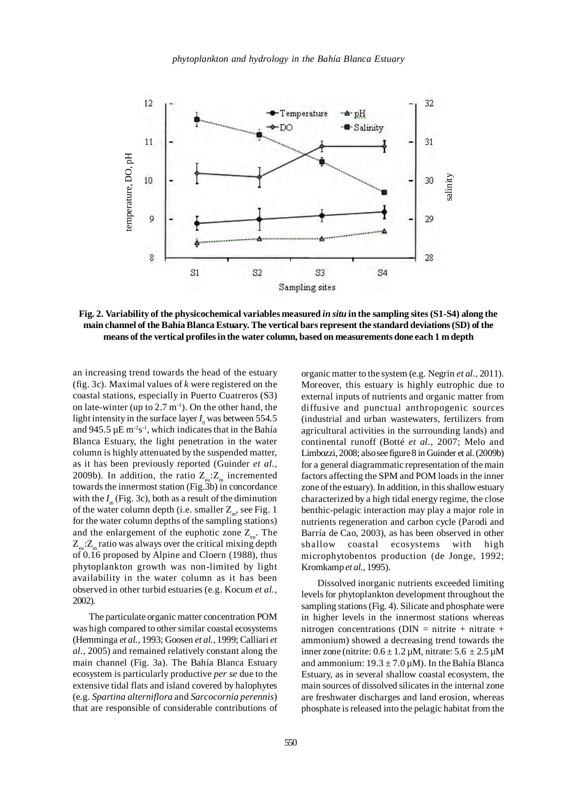

**Fig. 2. Variability of the physicochemical variables measured** *in situ* **in the sampling sites (S1-S4) along the main channel of the Bahía Blanca Estuary. The vertical bars represent the standard deviations (SD) of the means of the vertical profiles in the water column, based on measurements done each 1 m depth**

an increasing trend towards the head of the estuary (fig. 3c). Maximal values of *k* were registered on the coastal stations, especially in Puerto Cuatreros (S3) on late-winter (up to  $2.7 \text{ m}^{-1}$ ). On the other hand, the light intensity in the surface layer  $I_0$  was between 554.5 and 945.5  $\mu$ E m<sup>2</sup>s<sup>-1</sup>, which indicates that in the Bahía Blanca Estuary, the light penetration in the water column is highly attenuated by the suspended matter, as it has been previously reported (Guinder *et al.,* 2009b). In addition, the ratio  $Z_{\text{m}}$ : $Z_{\text{m}}$  incremented towards the innermost station (Fig.3b) in concordance with the  $I_{\perp}$  (Fig. 3c), both as a result of the diminution of the water column depth (i.e. smaller  $Z_m$ , see Fig. 1 for the water column depths of the sampling stations) and the enlargement of the euphotic zone  $Z_{\text{en}}$ . The  $Z_{\text{m}}$ : $Z_{\text{m}}$  ratio was always over the critical mixing depth of 0.16 proposed by Alpine and Cloern (1988), thus phytoplankton growth was non-limited by light availability in the water column as it has been observed in other turbid estuaries (e.g. Kocum *et al.,* 2002).

The particulate organic matter concentration POM was high compared to other similar coastal ecosystems (Hemminga *et al.,* 1993; Goosen *et al.,* 1999; Calliari *et al.,* 2005) and remained relatively constant along the main channel (Fig. 3a). The Bahía Blanca Estuary ecosystem is particularly productive *per se* due to the extensive tidal flats and island covered by halophytes (e.g. *Spartina alterniflora* and *Sarcocornia perennis*) that are responsible of considerable contributions of

organic matter to the system (e.g. Negrin *et al.,* 2011). Moreover, this estuary is highly eutrophic due to external inputs of nutrients and organic matter from diffusive and punctual anthropogenic sources (industrial and urban wastewaters, fertilizers from agricultural activities in the surrounding lands) and continental runoff (Botté *et al.,* 2007; Melo and Limbozzi, 2008; also see figure 8 in Guinder et al. (2009b) for a general diagrammatic representation of the main factors affecting the SPM and POM loads in the inner zone of the estuary). In addition, in this shallow estuary characterized by a high tidal energy regime, the close benthic-pelagic interaction may play a major role in nutrients regeneration and carbon cycle (Parodi and Barría de Cao, 2003), as has been observed in other shallow coastal ecosystems with high microphytobentos production (de Jonge, 1992; Kromkamp *et al.,* 1995). phosphate is released into the pelagic habitat from the salinity

Dissolved inorganic nutrients exceeded limiting levels for phytoplankton development throughout the sampling stations (Fig. 4). Silicate and phosphate were in higher levels in the innermost stations whereas nitrogen concentrations (DIN = nitrite + nitrate + ammonium) showed a decreasing trend towards the inner zone (nitrite:  $0.6 \pm 1.2 \,\mu\text{M}$ , nitrate:  $5.6 \pm 2.5 \,\mu\text{M}$ and ammonium:  $19.3 \pm 7.0 \mu M$ ). In the Bahía Blanca Estuary, as in several shallow coastal ecosystem, the main sources of dissolved silicates in the internal zone are freshwater discharges and land erosion, whereas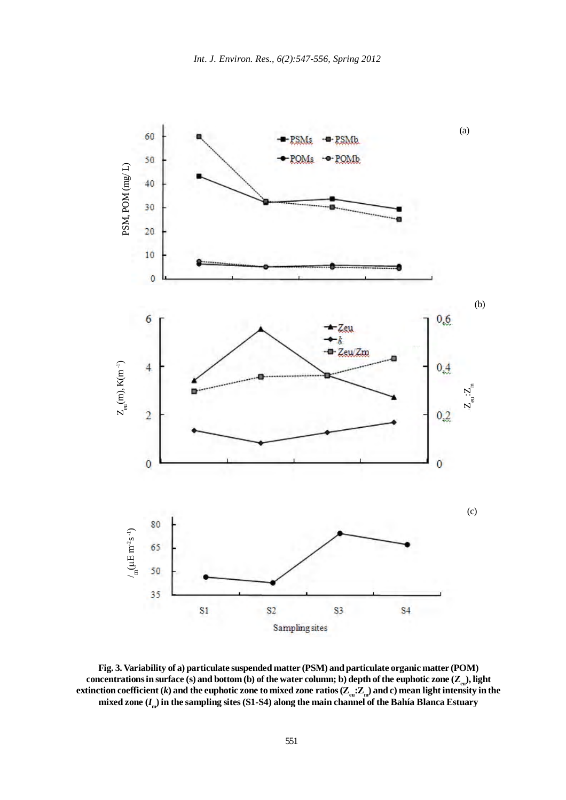

**Fig. 3. Variability of a) particulate suspended matter (PSM) and particulate organic matter (POM)** concentrations in surface (s) and bottom (b) of the water column; b) depth of the euphotic zone (Z<sub>eu</sub>), light extinction coefficient (*k*) and the euphotic zone to mixed zone ratios ( $\mathbb{Z}_{em}$ : $\mathbb{Z}_{m}$ ) and c) mean light intensity in the **mixed zone (***I***m) in the sampling sites (S1-S4) along the main channel of the Bahía Blanca Estuary**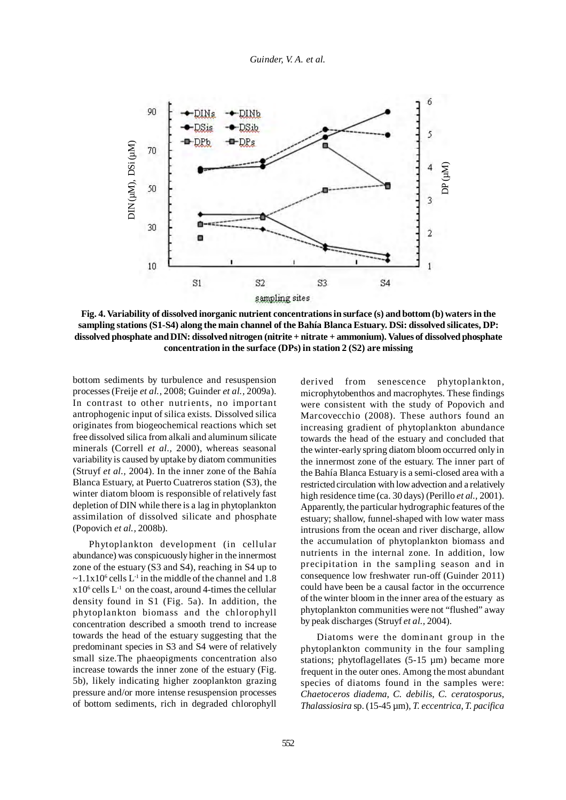

**Fig. 4. Variability of dissolved inorganic nutrient concentrations in surface (s) and bottom (b) waters in the sampling stations (S1-S4) along the main channel of the Bahía Blanca Estuary. DSi: dissolved silicates, DP: dissolved phosphate and DIN: dissolved nitrogen (nitrite + nitrate + ammonium). Values of dissolved phosphate concentration in the surface (DPs) in station 2 (S2) are missing**

bottom sediments by turbulence and resuspension processes (Freije *et al.,* 2008; Guinder *et al.,* 2009a). In contrast to other nutrients, no important antrophogenic input of silica exists. Dissolved silica originates from biogeochemical reactions which set free dissolved silica from alkali and aluminum silicate minerals (Correll *et al.,* 2000), whereas seasonal variability is caused by uptake by diatom communities (Struyf *et al.,* 2004). In the inner zone of the Bahía Blanca Estuary, at Puerto Cuatreros station (S3), the winter diatom bloom is responsible of relatively fast depletion of DIN while there is a lag in phytoplankton assimilation of dissolved silicate and phosphate (Popovich *et al.,* 2008b).

Phytoplankton development (in cellular abundance) was conspicuously higher in the innermost zone of the estuary (S3 and S4), reaching in S4 up to  $\sim$ 1.1x10<sup>6</sup> cells L<sup>-1</sup> in the middle of the channel and 1.8  $x10<sup>6</sup>$  cells  $L<sup>-1</sup>$  on the coast, around 4-times the cellular density found in S1 (Fig. 5a). In addition, the phytoplankton biomass and the chlorophyll concentration described a smooth trend to increase towards the head of the estuary suggesting that the predominant species in S3 and S4 were of relatively small size.The phaeopigments concentration also increase towards the inner zone of the estuary (Fig. 5b), likely indicating higher zooplankton grazing pressure and/or more intense resuspension processes of bottom sediments, rich in degraded chlorophyll

derived from senescence phytoplankton, microphytobenthos and macrophytes. These findings were consistent with the study of Popovich and Marcovecchio (2008). These authors found an increasing gradient of phytoplankton abundance towards the head of the estuary and concluded that the winter-early spring diatom bloom occurred only in the innermost zone of the estuary. The inner part of the Bahía Blanca Estuary is a semi-closed area with a restricted circulation with low advection and a relatively high residence time (ca. 30 days) (Perillo *et al.,* 2001). Apparently, the particular hydrographic features of the estuary; shallow, funnel-shaped with low water mass intrusions from the ocean and river discharge, allow the accumulation of phytoplankton biomass and nutrients in the internal zone. In addition, low precipitation in the sampling season and in consequence low freshwater run-off (Guinder 2011) could have been be a causal factor in the occurrence of the winter bloom in the inner area of the estuary as phytoplankton communities were not "flushed" away by peak discharges (Struyf *et al.,* 2004).

Diatoms were the dominant group in the phytoplankton community in the four sampling stations; phytoflagellates (5-15 µm) became more frequent in the outer ones. Among the most abundant species of diatoms found in the samples were: *Chaetoceros diadema*, *C. debilis*, *C. ceratosporus*, *Thalassiosira* sp. (15-45 µm), *T. eccentrica*, *T. pacifica*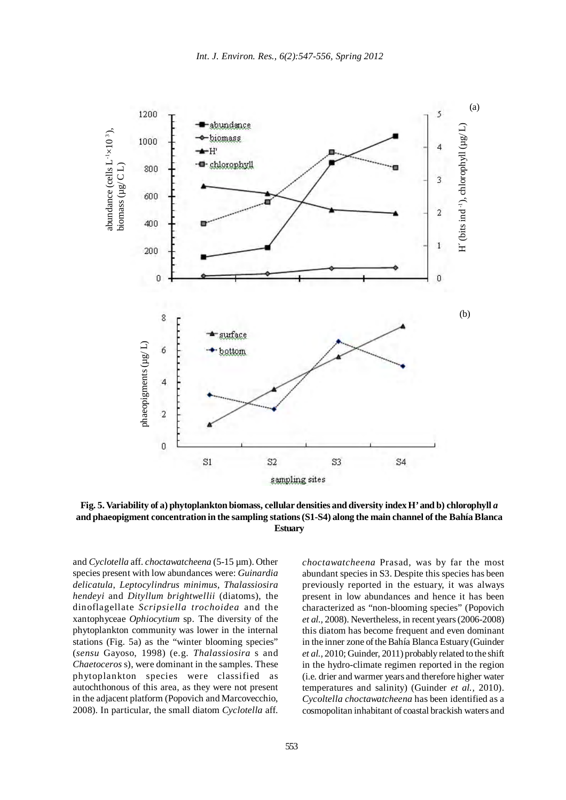

**Fig. 5. Variability of a) phytoplankton biomass, cellular densities and diversity index H' and b) chlorophyll** *a* **and phaeopigment concentration in the sampling stations (S1-S4) along the main channel of the Bahía Blanca Estuary**

and *Cyclotella* aff. *choctawatcheena* (5-15 µm). Other species present with low abundances were: *Guinardia delicatula*, *Leptocylindrus minimus*, *Thalassiosira hendeyi* and *Dityllum brightwellii* (diatoms), the dinoflagellate *Scripsiella trochoidea* and the xantophyceae *Ophiocytium* sp. The diversity of the phytoplankton community was lower in the internal stations (Fig. 5a) as the "winter blooming species" (*sensu* Gayoso, 1998) (e.g. *Thalassiosira* s and *Chaetoceros* s), were dominant in the samples. These phytoplankton species were classified as autochthonous of this area, as they were not present in the adjacent platform (Popovich and Marcovecchio, 2008). In particular, the small diatom *Cyclotella* aff. *choctawatcheena* Prasad, was by far the most abundant species in S3. Despite this species has been previously reported in the estuary, it was always present in low abundances and hence it has been characterized as "non-blooming species" (Popovich *et al.,* 2008). Nevertheless, in recent years (2006-2008) this diatom has become frequent and even dominant in the inner zone of the Bahía Blanca Estuary (Guinder *et al.,* 2010; Guinder, 2011) probably related to the shift in the hydro-climate regimen reported in the region (i.e. drier and warmer years and therefore higher water temperatures and salinity) (Guinder *et al.,* 2010). *Cycoltella choctawatcheena* has been identified as a cosmopolitan inhabitant of coastal brackish waters and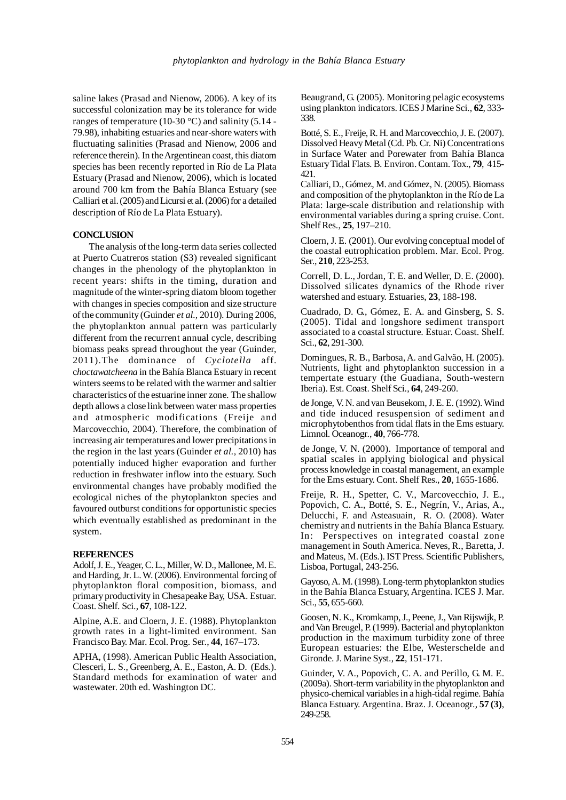saline lakes (Prasad and Nienow, 2006). A key of its successful colonization may be its tolerance for wide ranges of temperature (10-30 °C) and salinity (5.14 -79.98), inhabiting estuaries and near-shore waters with fluctuating salinities (Prasad and Nienow, 2006 and reference therein). In the Argentinean coast, this diatom species has been recently reported in Río de La Plata Estuary (Prasad and Nienow, 2006), which is located around 700 km from the Bahía Blanca Estuary (see Calliari et al. (2005) and Licursi et al. (2006) for a detailed description of Río de La Plata Estuary).

### **CONCLUSION**

The analysis of the long-term data series collected at Puerto Cuatreros station (S3) revealed significant changes in the phenology of the phytoplankton in recent years: shifts in the timing, duration and magnitude of the winter-spring diatom bloom together with changes in species composition and size structure of the community (Guinder *et al.,* 2010). During 2006, the phytoplankton annual pattern was particularly different from the recurrent annual cycle, describing biomass peaks spread throughout the year (Guinder, 2011).The dominance of *Cyclotella* aff. c*hoctawatcheena* in the Bahía Blanca Estuary in recent winters seems to be related with the warmer and saltier characteristics of the estuarine inner zone. The shallow depth allows a close link between water mass properties and atmospheric modifications (Freije and Marcovecchio, 2004). Therefore, the combination of increasing air temperatures and lower precipitations in the region in the last years (Guinder *et al.,* 2010) has potentially induced higher evaporation and further reduction in freshwater inflow into the estuary. Such environmental changes have probably modified the ecological niches of the phytoplankton species and favoured outburst conditions for opportunistic species which eventually established as predominant in the system.

## **REFERENCES**

Adolf, J. E., Yeager, C. L., Miller, W. D., Mallonee, M. E. and Harding, Jr. L. W. (2006). Environmental forcing of phytoplankton floral composition, biomass, and primary productivity in Chesapeake Bay, USA. Estuar. Coast. Shelf. Sci., **67**, 108-122.

Alpine, A.E. and Cloern, J. E. (1988). Phytoplankton growth rates in a light-limited environment. San Francisco Bay. Mar. Ecol. Prog. Ser., **44**, 167–173.

APHA, (1998). American Public Health Association, Clesceri, L. S., Greenberg, A. E., Easton, A. D. (Eds.). Standard methods for examination of water and wastewater. 20th ed. Washington DC.

Beaugrand, G. (2005). Monitoring pelagic ecosystems using plankton indicators. ICES J Marine Sci., **62**, 333- 338.

Botté, S. E., Freije, R. H. and Marcovecchio, J. E. (2007). Dissolved Heavy Metal (Cd. Pb. Cr. Ni) Concentrations in Surface Water and Porewater from Bahía Blanca Estuary Tidal Flats. B. Environ. Contam. Tox., **79**, 415- 421.

Calliari, D., Gómez, M. and Gómez, N. (2005). Biomass and composition of the phytoplankton in the Río de La Plata: large-scale distribution and relationship with environmental variables during a spring cruise. Cont. Shelf Res., **25**, 197–210.

Cloern, J. E. (2001). Our evolving conceptual model of the coastal eutrophication problem. Mar. Ecol. Prog. Ser., **210**, 223-253.

Correll, D. L., Jordan, T. E. and Weller, D. E. (2000). Dissolved silicates dynamics of the Rhode river watershed and estuary. Estuaries, **23**, 188-198.

Cuadrado, D. G., Gómez, E. A. and Ginsberg, S. S. (2005). Tidal and longshore sediment transport associated to a coastal structure. Estuar. Coast. Shelf. Sci., **62**, 291-300.

Domingues, R. B., Barbosa, A. and Galvão, H. (2005). Nutrients, light and phytoplankton succession in a tempertate estuary (the Guadiana, South-western Iberia). Est. Coast. Shelf Sci., **64**, 249-260.

de Jonge, V. N. and van Beusekom, J. E. E. (1992). Wind and tide induced resuspension of sediment and microphytobenthos from tidal flats in the Ems estuary. Limnol. Oceanogr., **40**, 766-778.

de Jonge, V. N. (2000). Importance of temporal and spatial scales in applying biological and physical process knowledge in coastal management, an example for the Ems estuary. Cont. Shelf Res., **20**, 1655-1686.

Freije, R. H., Spetter, C. V., Marcovecchio, J. E., Popovich, C. A., Botté, S. E., Negrín, V., Arias, A., Delucchi, F. and Asteasuain, R. O. (2008). Water chemistry and nutrients in the Bahía Blanca Estuary. In: Perspectives on integrated coastal zone management in South America. Neves, R., Baretta, J. and Mateus, M. (Eds.). IST Press. Scientific Publishers, Lisboa, Portugal, 243-256.

Gayoso, A. M. (1998). Long-term phytoplankton studies in the Bahía Blanca Estuary, Argentina. ICES J. Mar. Sci., **55**, 655-660.

Goosen, N. K., Kromkamp, J., Peene, J., Van Rijswijk, P. and Van Breugel, P. (1999). Bacterial and phytoplankton production in the maximum turbidity zone of three European estuaries: the Elbe, Westerschelde and Gironde. J. Marine Syst., **22**, 151-171.

Guinder, V. A., Popovich, C. A. and Perillo, G. M. E. (2009a). Short-term variability in the phytoplankton and physico-chemical variables in a high-tidal regime. Bahía Blanca Estuary. Argentina. Braz. J. Oceanogr., **57 (3)**, 249-258.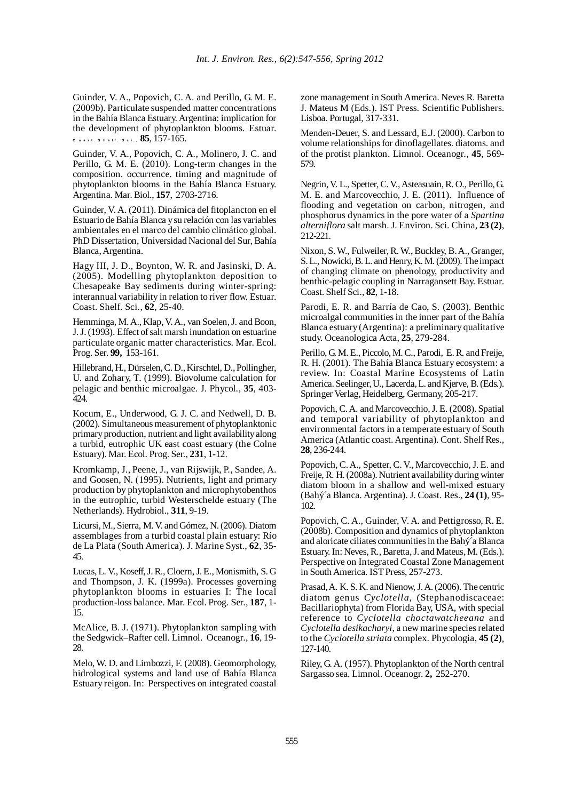Guinder, V. A., Popovich, C. A. and Perillo, G. M. E. (2009b). Particulate suspended matter concentrations in the Bahía Blanca Estuary. Argentina: implication for the development of phytoplankton blooms. Estuar. **C o a st. S h e lf . S c i., 85**, 157-165.

Guinder, V. A., Popovich, C. A., Molinero, J. C. and Perillo, G. M. E. (2010). Long-term changes in the composition. occurrence. timing and magnitude of phytoplankton blooms in the Bahía Blanca Estuary. Argentina. Mar. Biol., **157**, 2703-2716.

Guinder, V. A. (2011). Dinámica del fitoplancton en el Estuario de Bahía Blanca y su relación con las variables ambientales en el marco del cambio climático global. PhD Dissertation, Universidad Nacional del Sur, Bahía Blanca, Argentina.

Hagy III, J. D., Boynton, W. R. and Jasinski, D. A. (2005). Modelling phytoplankton deposition to Chesapeake Bay sediments during winter-spring: interannual variability in relation to river flow. Estuar. Coast. Shelf. Sci., **62**, 25-40.

Hemminga, M. A., Klap, V. A., van Soelen, J. and Boon, J. J. (1993). Effect of salt marsh inundation on estuarine particulate organic matter characteristics. Mar. Ecol. Prog. Ser. **99,** 153-161.

Hillebrand, H., Dürselen, C. D., Kirschtel, D., Pollingher, U. and Zohary, T. (1999). Biovolume calculation for pelagic and benthic microalgae. J. Phycol., **35**, 403- 424.

Kocum, E., Underwood, G. J. C. and Nedwell, D. B. (2002). Simultaneous measurement of phytoplanktonic primary production, nutrient and light availability along a turbid, eutrophic UK east coast estuary (the Colne Estuary). Mar. Ecol. Prog. Ser., **231**, 1-12.

Kromkamp, J., Peene, J., van Rijswijk, P., Sandee, A. and Goosen, N. (1995). Nutrients, light and primary production by phytoplankton and microphytobenthos in the eutrophic, turbid Westerschelde estuary (The Netherlands). Hydrobiol., **311**, 9-19.

Licursi, M., Sierra, M. V. and Gómez, N. (2006). Diatom assemblages from a turbid coastal plain estuary: Río de La Plata (South America). J. Marine Syst., **62**, 35- 45.

Lucas, L. V., Koseff, J. R., Cloern, J. E., Monismith, S. G and Thompson, J. K. (1999a). Processes governing phytoplankton blooms in estuaries I: The local production-loss balance. Mar. Ecol. Prog. Ser., **187**, 1- 15.

McAlice, B. J. (1971). Phytoplankton sampling with the Sedgwick–Rafter cell. Limnol. Oceanogr., **16**, 19- 28.

Melo, W. D. and Limbozzi, F. (2008). Geomorphology, hidrological systems and land use of Bahía Blanca Estuary reigon. In: Perspectives on integrated coastal zone management in South America. Neves R. Baretta J. Mateus M (Eds.). IST Press. Scientific Publishers. Lisboa. Portugal, 317-331.

Menden-Deuer, S. and Lessard, E.J. (2000). Carbon to volume relationships for dinoflagellates. diatoms. and of the protist plankton. Limnol. Oceanogr., **45**, 569- 579.

Negrin, V. L., Spetter, C. V., Asteasuain, R. O., Perillo, G. M. E. and Marcovecchio, J. E. (2011). Influence of flooding and vegetation on carbon, nitrogen, and phosphorus dynamics in the pore water of a *Spartina alterniflora* salt marsh. J. Environ. Sci. China, **23 (2)**, 212-221.

Nixon, S. W., Fulweiler, R. W., Buckley, B. A., Granger, S. L., Nowicki, B. L. and Henry, K. M. (2009). The impact of changing climate on phenology, productivity and benthic-pelagic coupling in Narragansett Bay. Estuar. Coast. Shelf Sci., **82**, 1-18.

Parodi, E. R. and Barría de Cao, S. (2003). Benthic microalgal communities in the inner part of the Bahía Blanca estuary (Argentina): a preliminary qualitative study. Oceanologica Acta, **25**, 279-284.

Perillo, G. M. E., Piccolo, M. C., Parodi, E. R. and Freije, R. H. (2001). The Bahía Blanca Estuary ecosystem: a review. In: Coastal Marine Ecosystems of Latin America. Seelinger, U., Lacerda, L. and Kjerve, B. (Eds.). Springer Verlag, Heidelberg, Germany, 205-217.

Popovich, C. A. and Marcovecchio, J. E. (2008). Spatial and temporal variability of phytoplankton and environmental factors in a temperate estuary of South America (Atlantic coast. Argentina). Cont. Shelf Res., **28**, 236-244.

Popovich, C. A., Spetter, C. V., Marcovecchio, J. E. and Freije, R. H. (2008a). Nutrient availability during winter diatom bloom in a shallow and well-mixed estuary (Bahý´a Blanca. Argentina). J. Coast. Res., **24 (1)**, 95- 102.

Popovich, C. A., Guinder, V. A. and Pettigrosso, R. E. (2008b). Composition and dynamics of phytoplankton and aloricate ciliates communities in the Bahý´a Blanca Estuary. In: Neves, R., Baretta, J. and Mateus, M. (Eds.). Perspective on Integrated Coastal Zone Management in South America. IST Press, 257-273.

Prasad, A. K. S. K. and Nienow, J. A. (2006). The centric diatom genus *Cyclotella*, (Stephanodiscaceae: Bacillariophyta) from Florida Bay, USA, with special reference to *Cyclotella choctawatcheeana* and *Cyclotella desikacharyi*, a new marine species related to the *Cyclotella striata* complex. Phycologia, **45 (2)**, 127-140.

Riley, G. A. (1957). Phytoplankton of the North central Sargasso sea. Limnol. Oceanogr. **2,** 252-270.